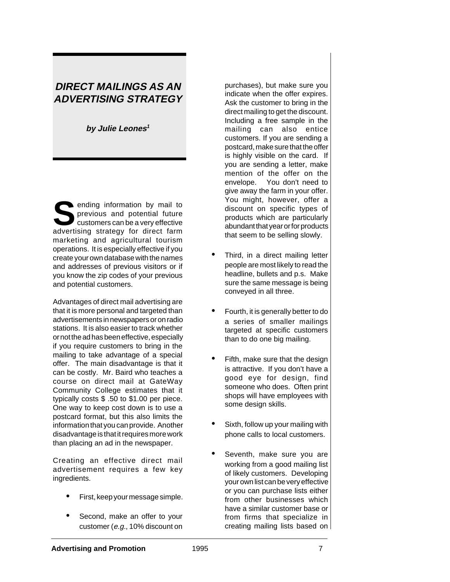## **DIRECT MAILINGS AS AN ADVERTISING STRATEGY**

**by Julie Leones<sup>1</sup>**

**S**ending information by mail to previous and potential future customers can be a very effective advertising strategy for direct farm marketing and agricultural tourism operations. It is especially effective if you create your own database with the names and addresses of previous visitors or if you know the zip codes of your previous and potential customers.

Advantages of direct mail advertising are that it is more personal and targeted than advertisements in newspapers or on radio stations. It is also easier to track whether or not the ad has been effective, especially if you require customers to bring in the mailing to take advantage of a special offer. The main disadvantage is that it can be costly. Mr. Baird who teaches a course on direct mail at GateWay Community College estimates that it typically costs \$ .50 to \$1.00 per piece. One way to keep cost down is to use a postcard format, but this also limits the information that you can provide. Another disadvantage is that it requires more work than placing an ad in the newspaper.

Creating an effective direct mail advertisement requires a few key ingredients.

- First, keep your message simple.
- Second, make an offer to your customer (e.g., 10% discount on

purchases), but make sure you indicate when the offer expires. Ask the customer to bring in the direct mailing to get the discount. Including a free sample in the mailing can also entice customers. If you are sending a postcard, make sure that the offer is highly visible on the card. If you are sending a letter, make mention of the offer on the envelope. You don't need to give away the farm in your offer. You might, however, offer a discount on specific types of products which are particularly abundant that year or for products that seem to be selling slowly.

- Third, in a direct mailing letter people are most likely to read the headline, bullets and p.s. Make sure the same message is being conveyed in all three.
- Fourth, it is generally better to do a series of smaller mailings targeted at specific customers than to do one big mailing.
- Fifth, make sure that the design is attractive. If you don't have a good eye for design, find someone who does. Often print shops will have employees with some design skills.
- Sixth, follow up your mailing with phone calls to local customers.
- Seventh, make sure you are working from a good mailing list of likely customers. Developing your own list can be very effective or you can purchase lists either from other businesses which have a similar customer base or from firms that specialize in creating mailing lists based on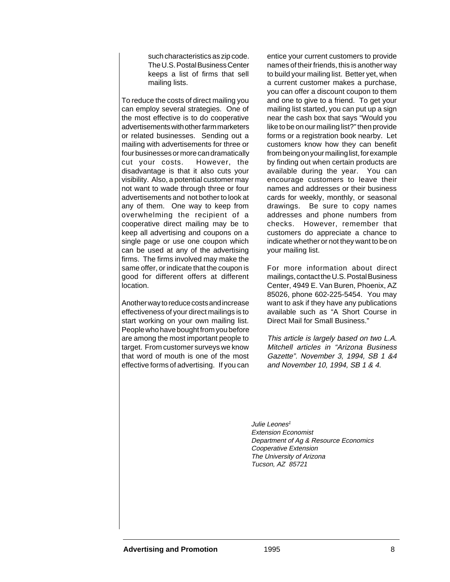such characteristics as zip code. The U.S. Postal Business Center keeps a list of firms that sell mailing lists.

To reduce the costs of direct mailing you can employ several strategies. One of the most effective is to do cooperative advertisements with other farm marketers or related businesses. Sending out a mailing with advertisements for three or four businesses or more can dramatically cut your costs. However, the disadvantage is that it also cuts your visibility. Also, a potential customer may not want to wade through three or four advertisements and not bother to look at any of them. One way to keep from overwhelming the recipient of a cooperative direct mailing may be to keep all advertising and coupons on a single page or use one coupon which can be used at any of the advertising firms. The firms involved may make the same offer, or indicate that the coupon is good for different offers at different location.

Another way to reduce costs and increase effectiveness of your direct mailings is to start working on your own mailing list. People who have bought from you before are among the most important people to target. From customer surveys we know that word of mouth is one of the most effective forms of advertising. If you can entice your current customers to provide names of their friends, this is another way to build your mailing list. Better yet, when a current customer makes a purchase, you can offer a discount coupon to them and one to give to a friend. To get your mailing list started, you can put up a sign near the cash box that says "Would you like to be on our mailing list?" then provide forms or a registration book nearby. Let customers know how they can benefit from being on your mailing list, for example by finding out when certain products are available during the year. You can encourage customers to leave their names and addresses or their business cards for weekly, monthly, or seasonal drawings. Be sure to copy names addresses and phone numbers from checks. However, remember that customers do appreciate a chance to indicate whether or not they want to be on your mailing list.

For more information about direct mailings, contact the U.S. Postal Business Center, 4949 E. Van Buren, Phoenix, AZ 85026, phone 602-225-5454. You may want to ask if they have any publications available such as "A Short Course in Direct Mail for Small Business."

This article is largely based on two L.A. Mitchell articles in "Arizona Business Gazette". November 3, 1994, SB 1 &4 and November 10, 1994, SB 1 & 4.

Julie Leones<sup>1</sup> Extension Economist Department of Ag & Resource Economics Cooperative Extension The University of Arizona Tucson, AZ 85721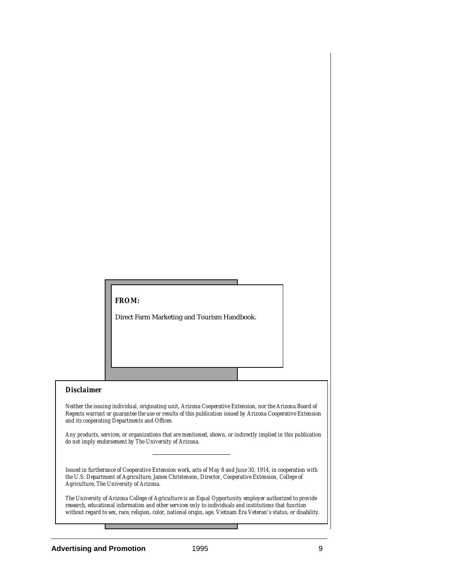## *FROM:*

Direct Farm Marketing and Tourism Handbook.

## *Disclaimer*

*Neither the issuing individual, originating unit, Arizona Cooperative Extension, nor the Arizona Board of Regents warrant or guarantee the use or results of this publication issued by Arizona Cooperative Extension and its cooperating Departments and Offices.*

*Any products, services, or organizations that are mentioned, shown, or indirectly implied in this publication do not imply endorsement by The University of Arizona.*

*Issued in furtherance of Cooperative Extension work, acts of May 8 and June 30, 1914, in cooperation with the U.S. Department of Agriculture, James Christenson, Director, Cooperative Extension, College of Agriculture, The University of Arizona.*

*The University of Arizona College of Agriculture is an Equal Opportunity employer authorized to provide research, educational information and other services only to individuals and institutions that function without regard to sex, race, religion, color, national origin, age, Vietnam Era Veteran's status, or disability.*

.